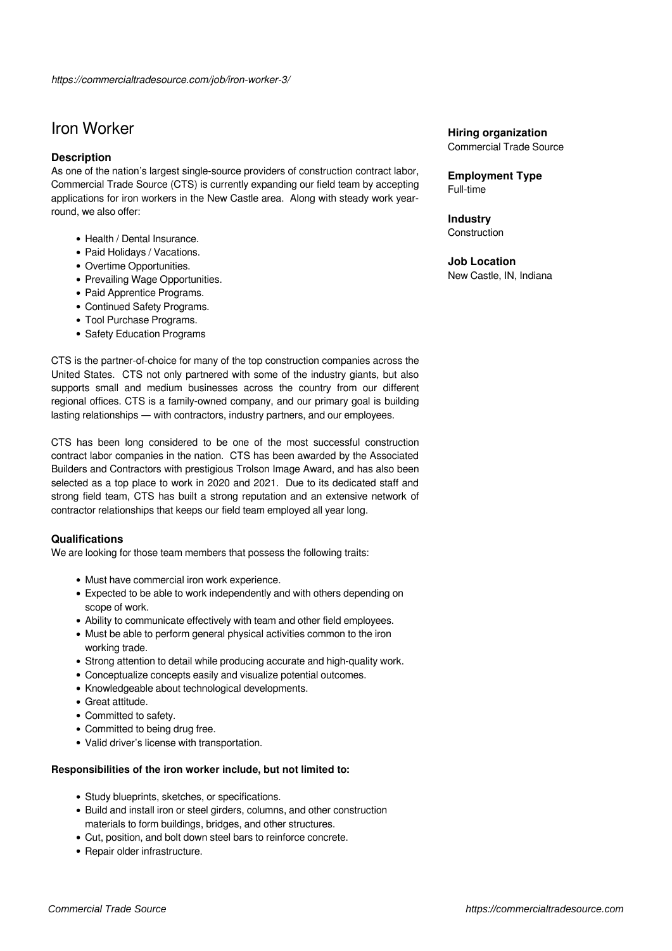# Iron Worker

# **Description**

As one of the nation's largest single-source providers of construction contract labor, Commercial Trade Source (CTS) is currently expanding our field team by accepting applications for iron workers in the New Castle area. Along with steady work yearround, we also offer:

- Health / Dental Insurance.
- Paid Holidays / Vacations.
- Overtime Opportunities.
- Prevailing Wage Opportunities.
- Paid Apprentice Programs.
- Continued Safety Programs.
- Tool Purchase Programs.
- Safety Education Programs

CTS is the partner-of-choice for many of the top construction companies across the United States. CTS not only partnered with some of the industry giants, but also supports small and medium businesses across the country from our different regional offices. CTS is a family-owned company, and our primary goal is building lasting relationships — with contractors, industry partners, and our employees.

CTS has been long considered to be one of the most successful construction contract labor companies in the nation. CTS has been awarded by the Associated Builders and Contractors with prestigious Trolson Image Award, and has also been selected as a top place to work in 2020 and 2021. Due to its dedicated staff and strong field team, CTS has built a strong reputation and an extensive network of contractor relationships that keeps our field team employed all year long.

# **Qualifications**

We are looking for those team members that possess the following traits:

- Must have commercial iron work experience.
- Expected to be able to work independently and with others depending on scope of work.
- Ability to communicate effectively with team and other field employees.
- Must be able to perform general physical activities common to the iron working trade.
- Strong attention to detail while producing accurate and high-quality work.
- Conceptualize concepts easily and visualize potential outcomes.
- Knowledgeable about technological developments.
- Great attitude.
- Committed to safety.
- Committed to being drug free.
- Valid driver's license with transportation.

#### **Responsibilities of the iron worker include, but not limited to:**

- Study blueprints, sketches, or specifications.
- Build and install iron or steel girders, columns, and other construction materials to form buildings, bridges, and other structures.
- Cut, position, and bolt down steel bars to reinforce concrete.
- Repair older infrastructure.

# **Hiring organization**

Commercial Trade Source

**Employment Type** Full-time

**Industry Construction** 

# **Job Location**

New Castle, IN, Indiana